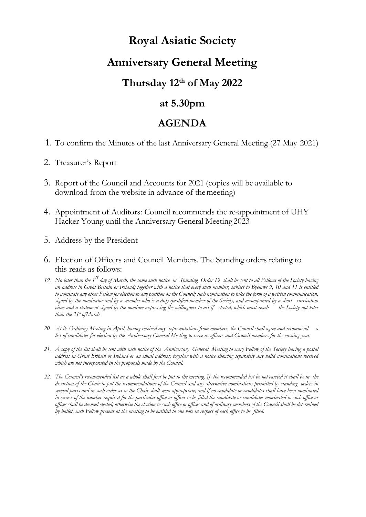# **Royal Asiatic Society**

# **Anniversary General Meeting**

## **Thursday 12th of May 2022**

## **at 5.30pm**

## **AGENDA**

- 1. To confirm the Minutes of the last Anniversary General Meeting (27 May 2021)
- 2. Treasurer's Report
- 3. Report of the Council and Accounts for 2021 (copies will be available to download from the website in advance of themeeting)
- 4. Appointment of Auditors: Council recommends the re-appointment of UHY Hacker Young until the Anniversary General Meeting 2023
- 5. Address by the President
- 6. Election of Officers and Council Members. The Standing orders relating to this reads as follows:
- *19. No later than the 1st day of March, the same such notice in Standing Order 19 shall be sent to all Fellows of the Society having an address in Great Britain or Ireland; together with a notice that every such member, subject to Byelaws 9, 10 and 11 is entitled to nominate any other Fellow for election to any position on the Council; such nomination to take the form of a written communication, signed by the nominator and by a seconder who is a duly qualified member of the Society, and accompanied by a short curriculum vitae and a statement signed by the nominee expressing the willingness to act if elected, which must reach the Society not later than the 21st ofMarch.*
- *20. At its Ordinary Meeting in April, having received any representations from members, the Council shall agree and recommend a list of candidates for election by the Anniversary General Meeting to serve as officers and Council members for the ensuing year.*
- *21. A copy of the list shall be sent with each notice of the Anniversary General Meeting to every Fellow of the Society having a postal address in Great Britain or Ireland or an email address; together with a notice showing separately any valid nominations received which are not incorporated in the proposals made by the Council.*
- *22. The Council's recommended list as a whole shall first be put to the meeting. If the recommended list be not carried it shall be in the discretion of the Chair to put the recommendations of the Council and any alternative nominations permitted by standing orders in several parts and in such order as to the Chair shall seem appropriate; and if no candidate or candidates shall have been nominated in excess of the number required for the particular office or offices to be filled the candidate or candidates nominated to such office or offices shall be deemed elected; otherwise the election to such office or offices and of ordinary members of the Council shall be determined by ballot, each Fellow present at the meeting to be entitled to one vote in respect of each office to be filled.*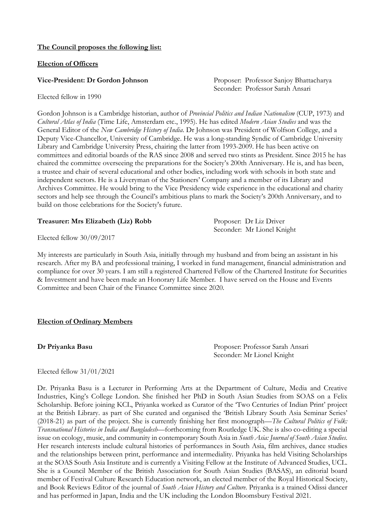### **The Council proposes the following list:**

### **Election of Officers**

**Vice-President: Dr Gordon Johnson Proposer: Professor Sanjoy Bhattacharya** Seconder: Professor Sarah Ansari

Elected fellow in 1990

Gordon Johnson is a Cambridge historian, author of *Provincial Politics and Indian Nationalism* (CUP, 1973) and *Cultural Atlas of India* (Time Life, Amsterdam etc., 1995). He has edited *Modern Asian Studies* and was the General Editor of the *New Cambridge History of India*. Dr Johnson was President of Wolfson College, and a Deputy Vice-Chancellor, University of Cambridge. He was a long-standing Syndic of Cambridge University Library and Cambridge University Press, chairing the latter from 1993-2009. He has been active on committees and editorial boards of the RAS since 2008 and served two stints as President. Since 2015 he has chaired the committee overseeing the preparations for the Society's 200th Anniversary. He is, and has been, a trustee and chair of several educational and other bodies, including work with schools in both state and independent sectors. He is a Liveryman of the Stationers' Company and a member of its Library and Archives Committee. He would bring to the Vice Presidency wide experience in the educational and charity sectors and help see through the Council's ambitious plans to mark the Society's 200th Anniversary, and to build on those celebrations for the Society's future.

### **Treasurer: Mrs Elizabeth (Liz) Robb** Proposer: Dr Liz Driver

Seconder: Mr Lionel Knight

Elected fellow 30/09/2017

My interests are particularly in South Asia, initially through my husband and from being an assistant in his research. After my BA and professional training, I worked in fund management, financial administration and compliance for over 30 years. I am still a registered Chartered Fellow of the Chartered Institute for Securities & Investment and have been made an Honorary Life Member. I have served on the House and Events Committee and been Chair of the Finance Committee since 2020.

### **Election of Ordinary Members**

**Dr Priyanka Basu** Proposer: Professor Sarah Ansari Seconder: Mr Lionel Knight

### Elected fellow 31/01/2021

Dr. Priyanka Basu is a Lecturer in Performing Arts at the Department of Culture, Media and Creative Industries, King's College London. She finished her PhD in South Asian Studies from SOAS on a Felix Scholarship. Before joining KCL, Priyanka worked as Curator of the 'Two Centuries of Indian Print' project at the British Library. as part of She curated and organised the 'British Library South Asia Seminar Series' (2018-21) as part of the project. She is currently finishing her first monograph—*The Cultural Politics of Folk: Transnational Histories in India and Bangladesh*—forthcoming from Routledge UK. She is also co-editing a special issue on ecology, music, and community in contemporary South Asia in *South Asia: Journal of South Asian Studies*. Her research interests include cultural histories of performances in South Asia, film archives, dance studies and the relationships between print, performance and intermediality. Priyanka has held Visiting Scholarships at the SOAS South Asia Institute and is currently a Visiting Fellow at the Institute of Advanced Studies, UCL. She is a Council Member of the British Association for South Asian Studies (BASAS), an editorial board member of Festival Culture Research Education network, an elected member of the Royal Historical Society, and Book Reviews Editor of the journal of *South Asian History and Culture*. Priyanka is a trained Odissi dancer and has performed in Japan, India and the UK including the London Bloomsbury Festival 2021.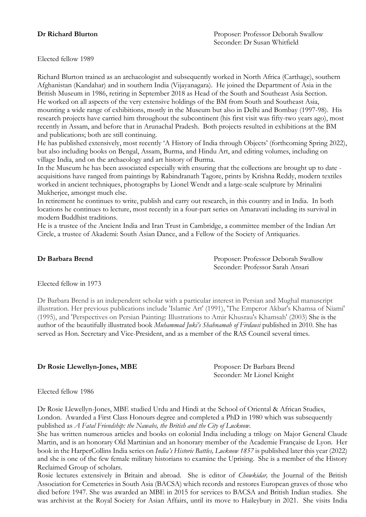Elected fellow 1989

Richard Blurton trained as an archaeologist and subsequently worked in North Africa (Carthage), southern Afghanistan (Kandahar) and in southern India (Vijayanagara). He joined the Department of Asia in the British Museum in 1986, retiring in September 2018 as Head of the South and Southeast Asia Section. He worked on all aspects of the very extensive holdings of the BM from South and Southeast Asia, mounting a wide range of exhibitions, mostly in the Museum but also in Delhi and Bombay (1997-98). His research projects have carried him throughout the subcontinent (his first visit was fifty-two years ago), most recently in Assam, and before that in Arunachal Pradesh. Both projects resulted in exhibitions at the BM and publications; both are still continuing.

He has published extensively, most recently 'A History of India through Objects' (forthcoming Spring 2022), but also including books on Bengal, Assam, Burma, and Hindu Art, and editing volumes, including on village India, and on the archaeology and art history of Burma.

In the Museum he has been associated especially with ensuring that the collections are brought up to date acquisitions have ranged from paintings by Rabindranath Tagore, prints by Krishna Reddy, modern textiles worked in ancient techniques, photographs by Lionel Wendt and a large-scale sculpture by Mrinalini Mukherjee, amongst much else.

In retirement he continues to write, publish and carry out research, in this country and in India. In both locations he continues to lecture, most recently in a four-part series on Amaravati including its survival in modern Buddhist traditions.

He is a trustee of the Ancient India and Iran Trust in Cambridge, a committee member of the Indian Art Circle, a trustee of Akademi: South Asian Dance, and a Fellow of the Society of Antiquaries.

**Dr Barbara Brend Dr Barbara Brend Proposer:** Professor Deborah Swallow Seconder: Professor Sarah Ansari

Elected fellow in 1973

Dr Barbara Brend is an independent scholar with a particular interest in Persian and Mughal manuscript illustration. Her previous publications include 'Islamic Art' (1991), 'The Emperor Akbar's Khamsa of Niami' (1995), and 'Perspectives on Persian Painting: Illustrations to Amir Khusrau's Khamsah' (2003) She is the author of the beautifully illustrated book *Muhammad Juki's Shahnamah of Firdausi* published in 2010. She has served as Hon. Secretary and Vice-President, and as a member of the RAS Council several times.

### **Dr Rosie Llewellyn-Jones, MBE** Proposer: Dr Barbara Brend

Seconder: Mr Lionel Knight

Elected fellow 1986

Dr Rosie Llewellyn-Jones, MBE studied Urdu and Hindi at the School of Oriental & African Studies, London. Awarded a First Class Honours degree and completed a PhD in 1980 which was subsequently published as *A Fatal Friendship: the Nawabs, the British and the City of Lucknow*.

She has written numerous articles and books on colonial India including a trilogy on Major General Claude Martin, and is an honorary Old Martinian and an honorary member of the Academie Française de Lyon. Her book in the HarperCollins India series on *India's Historic Battles, Lucknow 1857* is published later this year (2022) and she is one of the few female military historians to examine the Uprising. She is a member of the History Reclaimed Group of scholars.

Rosie lectures extensively in Britain and abroad. She is editor of *Chowkidar,* the Journal of the British Association for Cemeteries in South Asia (BACSA) which records and restores European graves of those who died before 1947. She was awarded an MBE in 2015 for services to BACSA and British Indian studies. She was archivist at the Royal Society for Asian Affairs, until its move to Haileybury in 2021. She visits India